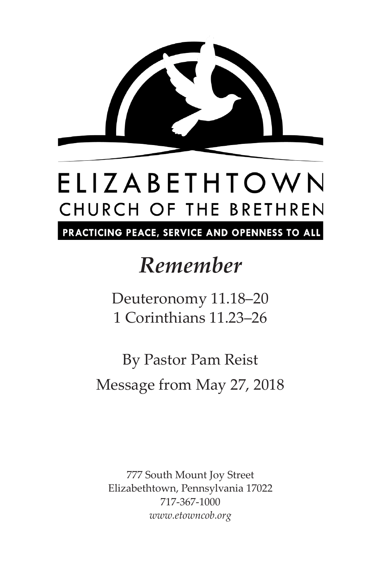

## ELIZABETHTOWN CHURCH OF THE BRETHREN

PRACTICING PEACE, SERVICE AND OPENNESS TO ALL

### *Remember*

Deuteronomy 11.18–20 1 Corinthians 11.23–26

By Pastor Pam Reist Message from May 27, 2018

777 South Mount Joy Street Elizabethtown, Pennsylvania 17022 717-367-1000 *www.etowncob.org*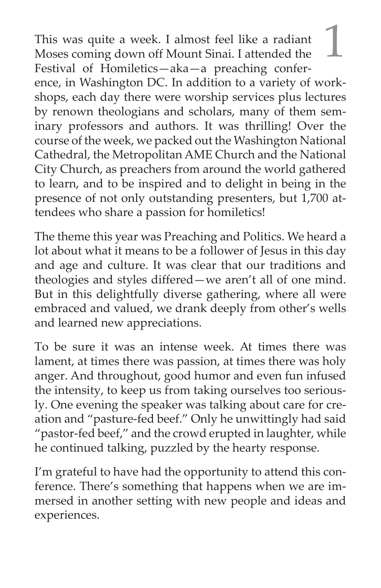This was quite a week. I almost feel like a radiant <br>Moses coming down off Mount Sinai. I attended the Festival of Homiletics—aka—a preaching conference, in Washington DC. In addition to a variety of workshops, each day there were worship services plus lectures by renown theologians and scholars, many of them seminary professors and authors. It was thrilling! Over the course of the week, we packed out the Washington National Cathedral, the Metropolitan AME Church and the National City Church, as preachers from around the world gathered to learn, and to be inspired and to delight in being in the presence of not only outstanding presenters, but 1,700 attendees who share a passion for homiletics!

The theme this year was Preaching and Politics. We heard a lot about what it means to be a follower of Jesus in this day and age and culture. It was clear that our traditions and theologies and styles differed—we aren't all of one mind. But in this delightfully diverse gathering, where all were embraced and valued, we drank deeply from other's wells and learned new appreciations.

To be sure it was an intense week. At times there was lament, at times there was passion, at times there was holy anger. And throughout, good humor and even fun infused the intensity, to keep us from taking ourselves too seriously. One evening the speaker was talking about care for creation and "pasture-fed beef." Only he unwittingly had said "pastor-fed beef," and the crowd erupted in laughter, while he continued talking, puzzled by the hearty response.

I'm grateful to have had the opportunity to attend this conference. There's something that happens when we are immersed in another setting with new people and ideas and experiences.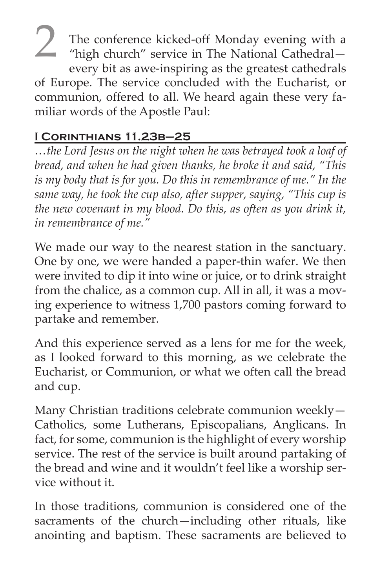<sup>2</sup> The conference kicked-off Monday evening with a "high church" service in The National Cathedral every bit as awe-inspiring as the greatest cathedrals of Europe. The service concluded with the Eucharist, or communion, offered to all. We heard again these very familiar words of the Apostle Paul:

#### **I Corinthians 11.23b–25**

*…the Lord Jesus on the night when he was betrayed took a loaf of bread, and when he had given thanks, he broke it and said, "This is my body that is for you. Do this in remembrance of me." In the same way, he took the cup also, after supper, saying, "This cup is the new covenant in my blood. Do this, as often as you drink it, in remembrance of me."*

We made our way to the nearest station in the sanctuary. One by one, we were handed a paper-thin wafer. We then were invited to dip it into wine or juice, or to drink straight from the chalice, as a common cup. All in all, it was a moving experience to witness 1,700 pastors coming forward to partake and remember.

And this experience served as a lens for me for the week, as I looked forward to this morning, as we celebrate the Eucharist, or Communion, or what we often call the bread and cup.

Many Christian traditions celebrate communion weekly— Catholics, some Lutherans, Episcopalians, Anglicans. In fact, for some, communion is the highlight of every worship service. The rest of the service is built around partaking of the bread and wine and it wouldn't feel like a worship service without it.

In those traditions, communion is considered one of the sacraments of the church—including other rituals, like anointing and baptism. These sacraments are believed to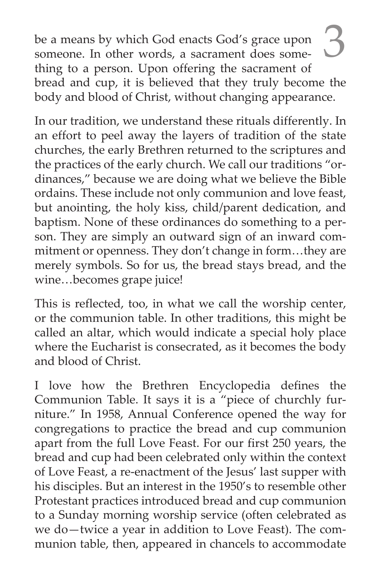be a means by which God enacts God's grace upon someone. In other words, a sacrament does something to a person. Upon offering the sacrament of bread and cup, it is believed that they truly become the body and blood of Christ, without changing appearance.

In our tradition, we understand these rituals differently. In an effort to peel away the layers of tradition of the state churches, the early Brethren returned to the scriptures and the practices of the early church. We call our traditions "ordinances," because we are doing what we believe the Bible ordains. These include not only communion and love feast, but anointing, the holy kiss, child/parent dedication, and baptism. None of these ordinances do something to a person. They are simply an outward sign of an inward commitment or openness. They don't change in form…they are merely symbols. So for us, the bread stays bread, and the wine…becomes grape juice!

This is reflected, too, in what we call the worship center, or the communion table. In other traditions, this might be called an altar, which would indicate a special holy place where the Eucharist is consecrated, as it becomes the body and blood of Christ.

I love how the Brethren Encyclopedia defines the Communion Table. It says it is a "piece of churchly furniture." In 1958, Annual Conference opened the way for congregations to practice the bread and cup communion apart from the full Love Feast. For our first 250 years, the bread and cup had been celebrated only within the context of Love Feast, a re-enactment of the Jesus' last supper with his disciples. But an interest in the 1950's to resemble other Protestant practices introduced bread and cup communion to a Sunday morning worship service (often celebrated as we do—twice a year in addition to Love Feast). The communion table, then, appeared in chancels to accommodate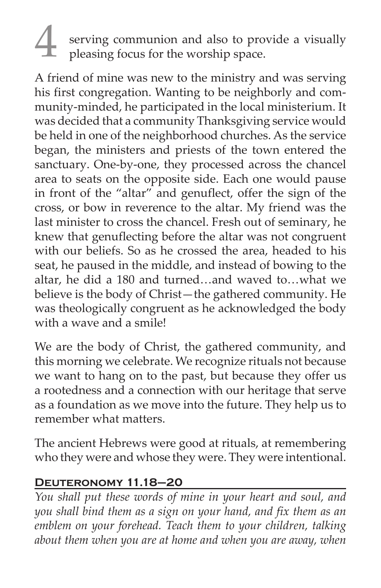# 4 serving communion and also to provide a visually pleasing focus for the worship space.

A friend of mine was new to the ministry and was serving his first congregation. Wanting to be neighborly and community-minded, he participated in the local ministerium. It was decided that a community Thanksgiving service would be held in one of the neighborhood churches. As the service began, the ministers and priests of the town entered the sanctuary. One-by-one, they processed across the chancel area to seats on the opposite side. Each one would pause in front of the "altar" and genuflect, offer the sign of the cross, or bow in reverence to the altar. My friend was the last minister to cross the chancel. Fresh out of seminary, he knew that genuflecting before the altar was not congruent with our beliefs. So as he crossed the area, headed to his seat, he paused in the middle, and instead of bowing to the altar, he did a 180 and turned…and waved to…what we believe is the body of Christ—the gathered community. He was theologically congruent as he acknowledged the body with a wave and a smile!

We are the body of Christ, the gathered community, and this morning we celebrate. We recognize rituals not because we want to hang on to the past, but because they offer us a rootedness and a connection with our heritage that serve as a foundation as we move into the future. They help us to remember what matters.

The ancient Hebrews were good at rituals, at remembering who they were and whose they were. They were intentional.

#### **Deuteronomy 11.18–20**

*You shall put these words of mine in your heart and soul, and you shall bind them as a sign on your hand, and fix them as an emblem on your forehead. Teach them to your children, talking about them when you are at home and when you are away, when*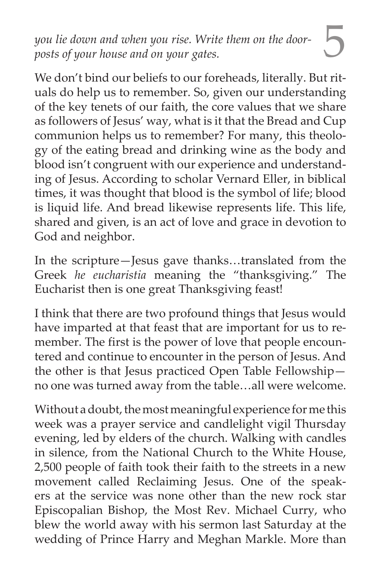5 *you lie down and when you rise. Write them on the doorposts of your house and on your gates.*

We don't bind our beliefs to our foreheads, literally. But rituals do help us to remember. So, given our understanding of the key tenets of our faith, the core values that we share as followers of Jesus' way, what is it that the Bread and Cup communion helps us to remember? For many, this theology of the eating bread and drinking wine as the body and blood isn't congruent with our experience and understanding of Jesus. According to scholar Vernard Eller, in biblical times, it was thought that blood is the symbol of life; blood is liquid life. And bread likewise represents life. This life, shared and given, is an act of love and grace in devotion to God and neighbor.

In the scripture—Jesus gave thanks…translated from the Greek *he eucharistia* meaning the "thanksgiving." The Eucharist then is one great Thanksgiving feast!

I think that there are two profound things that Jesus would have imparted at that feast that are important for us to remember. The first is the power of love that people encountered and continue to encounter in the person of Jesus. And the other is that Jesus practiced Open Table Fellowship no one was turned away from the table…all were welcome.

Without a doubt, the most meaningful experience for me this week was a prayer service and candlelight vigil Thursday evening, led by elders of the church. Walking with candles in silence, from the National Church to the White House, 2,500 people of faith took their faith to the streets in a new movement called Reclaiming Jesus. One of the speakers at the service was none other than the new rock star Episcopalian Bishop, the Most Rev. Michael Curry, who blew the world away with his sermon last Saturday at the wedding of Prince Harry and Meghan Markle. More than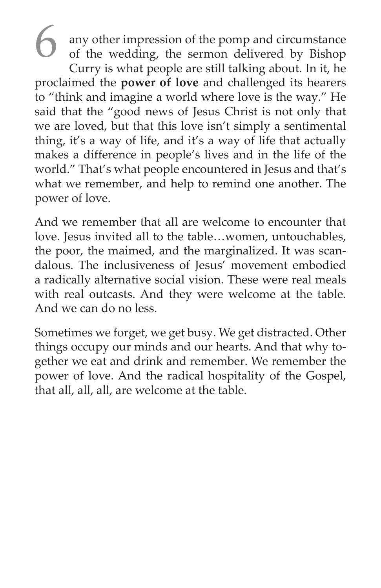6 any other impression of the pomp and circumstance of the wedding, the sermon delivered by Bishop Curry is what people are still talking about. In it, he proclaimed the **power of love** and challenged its hearers to "think and imagine a world where love is the way." He said that the "good news of Jesus Christ is not only that we are loved, but that this love isn't simply a sentimental thing, it's a way of life, and it's a way of life that actually makes a difference in people's lives and in the life of the world." That's what people encountered in Jesus and that's what we remember, and help to remind one another. The power of love.

And we remember that all are welcome to encounter that love. Jesus invited all to the table…women, untouchables, the poor, the maimed, and the marginalized. It was scandalous. The inclusiveness of Jesus' movement embodied a radically alternative social vision. These were real meals with real outcasts. And they were welcome at the table. And we can do no less.

Sometimes we forget, we get busy. We get distracted. Other things occupy our minds and our hearts. And that why together we eat and drink and remember. We remember the power of love. And the radical hospitality of the Gospel, that all, all, all, are welcome at the table.